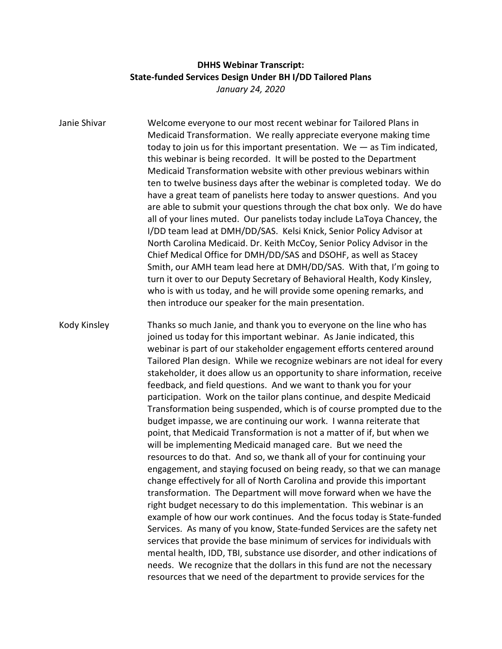## **DHHS Webinar Transcript: State-funded Services Design Under BH I/DD Tailored Plans** *January 24, 2020*

| Janie Shivar | Welcome everyone to our most recent webinar for Tailored Plans in<br>Medicaid Transformation. We really appreciate everyone making time<br>today to join us for this important presentation. We $-$ as Tim indicated,<br>this webinar is being recorded. It will be posted to the Department<br>Medicaid Transformation website with other previous webinars within<br>ten to twelve business days after the webinar is completed today. We do<br>have a great team of panelists here today to answer questions. And you<br>are able to submit your questions through the chat box only. We do have<br>all of your lines muted. Our panelists today include LaToya Chancey, the<br>I/DD team lead at DMH/DD/SAS. Kelsi Knick, Senior Policy Advisor at<br>North Carolina Medicaid. Dr. Keith McCoy, Senior Policy Advisor in the<br>Chief Medical Office for DMH/DD/SAS and DSOHF, as well as Stacey<br>Smith, our AMH team lead here at DMH/DD/SAS. With that, I'm going to<br>turn it over to our Deputy Secretary of Behavioral Health, Kody Kinsley,<br>who is with us today, and he will provide some opening remarks, and<br>then introduce our speaker for the main presentation.                                                                                                                                                                                                                                                                                                                                                                                                                                                                          |
|--------------|-------------------------------------------------------------------------------------------------------------------------------------------------------------------------------------------------------------------------------------------------------------------------------------------------------------------------------------------------------------------------------------------------------------------------------------------------------------------------------------------------------------------------------------------------------------------------------------------------------------------------------------------------------------------------------------------------------------------------------------------------------------------------------------------------------------------------------------------------------------------------------------------------------------------------------------------------------------------------------------------------------------------------------------------------------------------------------------------------------------------------------------------------------------------------------------------------------------------------------------------------------------------------------------------------------------------------------------------------------------------------------------------------------------------------------------------------------------------------------------------------------------------------------------------------------------------------------------------------------------------------------------------------------------------|
| Kody Kinsley | Thanks so much Janie, and thank you to everyone on the line who has<br>joined us today for this important webinar. As Janie indicated, this<br>webinar is part of our stakeholder engagement efforts centered around<br>Tailored Plan design. While we recognize webinars are not ideal for every<br>stakeholder, it does allow us an opportunity to share information, receive<br>feedback, and field questions. And we want to thank you for your<br>participation. Work on the tailor plans continue, and despite Medicaid<br>Transformation being suspended, which is of course prompted due to the<br>budget impasse, we are continuing our work. I wanna reiterate that<br>point, that Medicaid Transformation is not a matter of if, but when we<br>will be implementing Medicaid managed care. But we need the<br>resources to do that. And so, we thank all of your for continuing your<br>engagement, and staying focused on being ready, so that we can manage<br>change effectively for all of North Carolina and provide this important<br>transformation. The Department will move forward when we have the<br>right budget necessary to do this implementation. This webinar is an<br>example of how our work continues. And the focus today is State-funded<br>Services. As many of you know, State-funded Services are the safety net<br>services that provide the base minimum of services for individuals with<br>mental health, IDD, TBI, substance use disorder, and other indications of<br>needs. We recognize that the dollars in this fund are not the necessary<br>resources that we need of the department to provide services for the |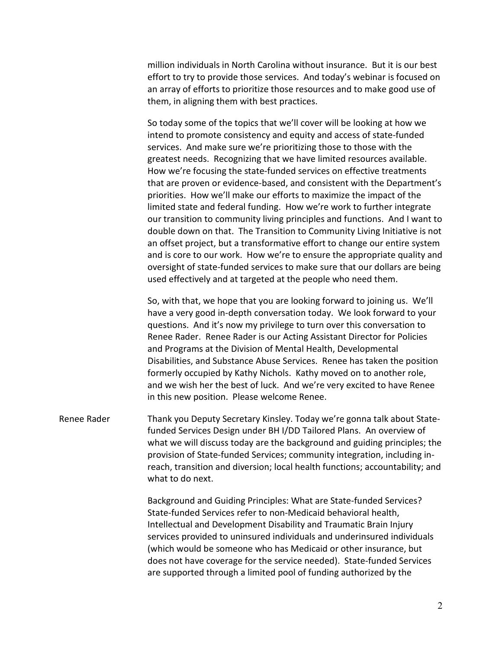million individuals in North Carolina without insurance. But it is our best effort to try to provide those services. And today's webinar is focused on an array of efforts to prioritize those resources and to make good use of them, in aligning them with best practices.

So today some of the topics that we'll cover will be looking at how we intend to promote consistency and equity and access of state-funded services. And make sure we're prioritizing those to those with the greatest needs. Recognizing that we have limited resources available. How we're focusing the state-funded services on effective treatments that are proven or evidence-based, and consistent with the Department's priorities. How we'll make our efforts to maximize the impact of the limited state and federal funding. How we're work to further integrate our transition to community living principles and functions. And I want to double down on that. The Transition to Community Living Initiative is not an offset project, but a transformative effort to change our entire system and is core to our work. How we're to ensure the appropriate quality and oversight of state-funded services to make sure that our dollars are being used effectively and at targeted at the people who need them.

So, with that, we hope that you are looking forward to joining us. We'll have a very good in-depth conversation today. We look forward to your questions. And it's now my privilege to turn over this conversation to Renee Rader. Renee Rader is our Acting Assistant Director for Policies and Programs at the Division of Mental Health, Developmental Disabilities, and Substance Abuse Services. Renee has taken the position formerly occupied by Kathy Nichols. Kathy moved on to another role, and we wish her the best of luck. And we're very excited to have Renee in this new position. Please welcome Renee.

Renee Rader Thank you Deputy Secretary Kinsley. Today we're gonna talk about Statefunded Services Design under BH I/DD Tailored Plans. An overview of what we will discuss today are the background and guiding principles; the provision of State-funded Services; community integration, including inreach, transition and diversion; local health functions; accountability; and what to do next.

> Background and Guiding Principles: What are State-funded Services? State-funded Services refer to non-Medicaid behavioral health, Intellectual and Development Disability and Traumatic Brain Injury services provided to uninsured individuals and underinsured individuals (which would be someone who has Medicaid or other insurance, but does not have coverage for the service needed). State-funded Services are supported through a limited pool of funding authorized by the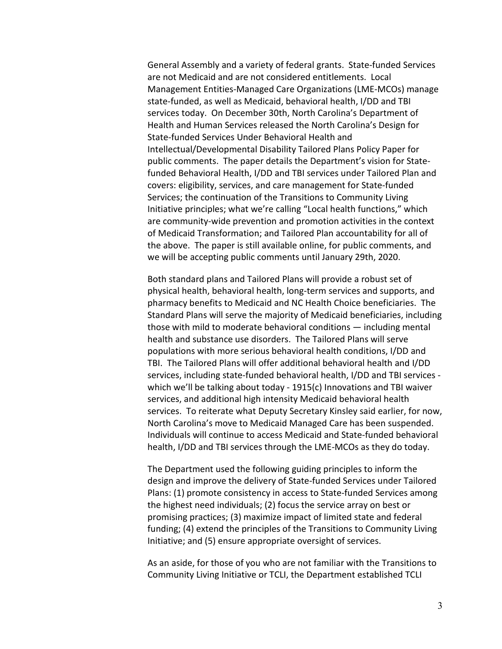General Assembly and a variety of federal grants. State-funded Services are not Medicaid and are not considered entitlements. Local Management Entities-Managed Care Organizations (LME-MCOs) manage state-funded, as well as Medicaid, behavioral health, I/DD and TBI services today. On December 30th, North Carolina's Department of Health and Human Services released the North Carolina's Design for State-funded Services Under Behavioral Health and Intellectual/Developmental Disability Tailored Plans Policy Paper for public comments. The paper details the Department's vision for Statefunded Behavioral Health, I/DD and TBI services under Tailored Plan and covers: eligibility, services, and care management for State-funded Services; the continuation of the Transitions to Community Living Initiative principles; what we're calling "Local health functions," which are community-wide prevention and promotion activities in the context of Medicaid Transformation; and Tailored Plan accountability for all of the above. The paper is still available online, for public comments, and we will be accepting public comments until January 29th, 2020.

Both standard plans and Tailored Plans will provide a robust set of physical health, behavioral health, long-term services and supports, and pharmacy benefits to Medicaid and NC Health Choice beneficiaries. The Standard Plans will serve the majority of Medicaid beneficiaries, including those with mild to moderate behavioral conditions — including mental health and substance use disorders. The Tailored Plans will serve populations with more serious behavioral health conditions, I/DD and TBI. The Tailored Plans will offer additional behavioral health and I/DD services, including state-funded behavioral health, I/DD and TBI services which we'll be talking about today - 1915(c) Innovations and TBI waiver services, and additional high intensity Medicaid behavioral health services. To reiterate what Deputy Secretary Kinsley said earlier, for now, North Carolina's move to Medicaid Managed Care has been suspended. Individuals will continue to access Medicaid and State-funded behavioral health, I/DD and TBI services through the LME-MCOs as they do today.

The Department used the following guiding principles to inform the design and improve the delivery of State-funded Services under Tailored Plans: (1) promote consistency in access to State-funded Services among the highest need individuals; (2) focus the service array on best or promising practices; (3) maximize impact of limited state and federal funding; (4) extend the principles of the Transitions to Community Living Initiative; and (5) ensure appropriate oversight of services.

As an aside, for those of you who are not familiar with the Transitions to Community Living Initiative or TCLI, the Department established TCLI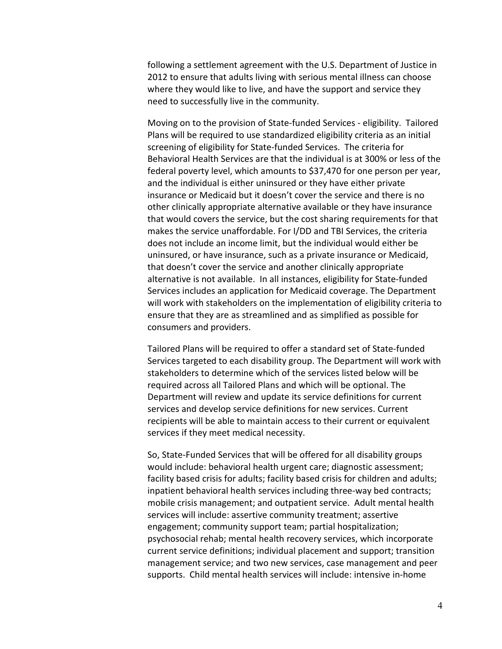following a settlement agreement with the U.S. Department of Justice in 2012 to ensure that adults living with serious mental illness can choose where they would like to live, and have the support and service they need to successfully live in the community.

Moving on to the provision of State-funded Services - eligibility. Tailored Plans will be required to use standardized eligibility criteria as an initial screening of eligibility for State-funded Services. The criteria for Behavioral Health Services are that the individual is at 300% or less of the federal poverty level, which amounts to \$37,470 for one person per year, and the individual is either uninsured or they have either private insurance or Medicaid but it doesn't cover the service and there is no other clinically appropriate alternative available or they have insurance that would covers the service, but the cost sharing requirements for that makes the service unaffordable. For I/DD and TBI Services, the criteria does not include an income limit, but the individual would either be uninsured, or have insurance, such as a private insurance or Medicaid, that doesn't cover the service and another clinically appropriate alternative is not available. In all instances, eligibility for State-funded Services includes an application for Medicaid coverage. The Department will work with stakeholders on the implementation of eligibility criteria to ensure that they are as streamlined and as simplified as possible for consumers and providers.

Tailored Plans will be required to offer a standard set of State-funded Services targeted to each disability group. The Department will work with stakeholders to determine which of the services listed below will be required across all Tailored Plans and which will be optional. The Department will review and update its service definitions for current services and develop service definitions for new services. Current recipients will be able to maintain access to their current or equivalent services if they meet medical necessity.

So, State-Funded Services that will be offered for all disability groups would include: behavioral health urgent care; diagnostic assessment; facility based crisis for adults; facility based crisis for children and adults; inpatient behavioral health services including three-way bed contracts; mobile crisis management; and outpatient service. Adult mental health services will include: assertive community treatment; assertive engagement; community support team; partial hospitalization; psychosocial rehab; mental health recovery services, which incorporate current service definitions; individual placement and support; transition management service; and two new services, case management and peer supports. Child mental health services will include: intensive in-home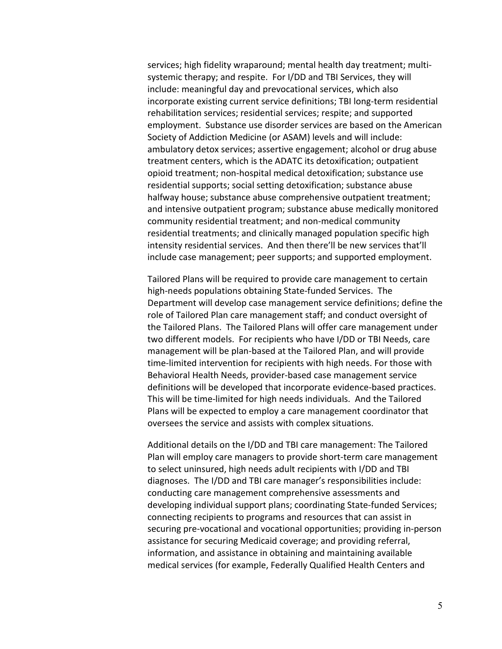services; high fidelity wraparound; mental health day treatment; multisystemic therapy; and respite. For I/DD and TBI Services, they will include: meaningful day and prevocational services, which also incorporate existing current service definitions; TBI long-term residential rehabilitation services; residential services; respite; and supported employment. Substance use disorder services are based on the American Society of Addiction Medicine (or ASAM) levels and will include: ambulatory detox services; assertive engagement; alcohol or drug abuse treatment centers, which is the ADATC its detoxification; outpatient opioid treatment; non-hospital medical detoxification; substance use residential supports; social setting detoxification; substance abuse halfway house; substance abuse comprehensive outpatient treatment; and intensive outpatient program; substance abuse medically monitored community residential treatment; and non-medical community residential treatments; and clinically managed population specific high intensity residential services. And then there'll be new services that'll include case management; peer supports; and supported employment.

Tailored Plans will be required to provide care management to certain high-needs populations obtaining State-funded Services. The Department will develop case management service definitions; define the role of Tailored Plan care management staff; and conduct oversight of the Tailored Plans. The Tailored Plans will offer care management under two different models. For recipients who have I/DD or TBI Needs, care management will be plan-based at the Tailored Plan, and will provide time-limited intervention for recipients with high needs. For those with Behavioral Health Needs, provider-based case management service definitions will be developed that incorporate evidence-based practices. This will be time-limited for high needs individuals. And the Tailored Plans will be expected to employ a care management coordinator that oversees the service and assists with complex situations.

Additional details on the I/DD and TBI care management: The Tailored Plan will employ care managers to provide short-term care management to select uninsured, high needs adult recipients with I/DD and TBI diagnoses. The I/DD and TBI care manager's responsibilities include: conducting care management comprehensive assessments and developing individual support plans; coordinating State-funded Services; connecting recipients to programs and resources that can assist in securing pre-vocational and vocational opportunities; providing in-person assistance for securing Medicaid coverage; and providing referral, information, and assistance in obtaining and maintaining available medical services (for example, Federally Qualified Health Centers and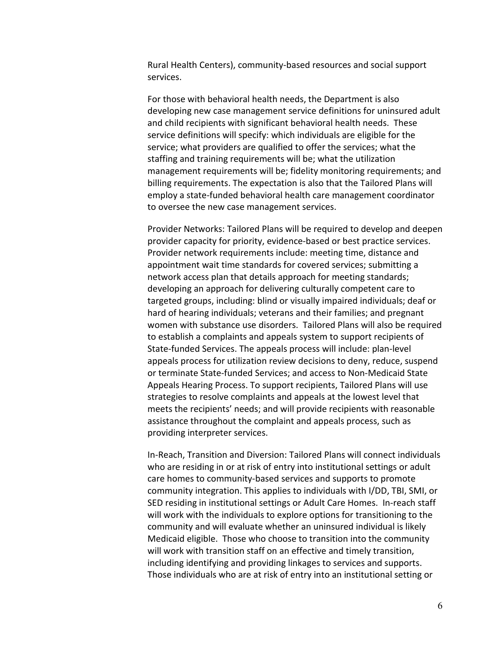Rural Health Centers), community-based resources and social support services.

For those with behavioral health needs, the Department is also developing new case management service definitions for uninsured adult and child recipients with significant behavioral health needs. These service definitions will specify: which individuals are eligible for the service; what providers are qualified to offer the services; what the staffing and training requirements will be; what the utilization management requirements will be; fidelity monitoring requirements; and billing requirements. The expectation is also that the Tailored Plans will employ a state-funded behavioral health care management coordinator to oversee the new case management services.

Provider Networks: Tailored Plans will be required to develop and deepen provider capacity for priority, evidence-based or best practice services. Provider network requirements include: meeting time, distance and appointment wait time standards for covered services; submitting a network access plan that details approach for meeting standards; developing an approach for delivering culturally competent care to targeted groups, including: blind or visually impaired individuals; deaf or hard of hearing individuals; veterans and their families; and pregnant women with substance use disorders. Tailored Plans will also be required to establish a complaints and appeals system to support recipients of State-funded Services. The appeals process will include: plan-level appeals process for utilization review decisions to deny, reduce, suspend or terminate State-funded Services; and access to Non-Medicaid State Appeals Hearing Process. To support recipients, Tailored Plans will use strategies to resolve complaints and appeals at the lowest level that meets the recipients' needs; and will provide recipients with reasonable assistance throughout the complaint and appeals process, such as providing interpreter services.

In-Reach, Transition and Diversion: Tailored Plans will connect individuals who are residing in or at risk of entry into institutional settings or adult care homes to community-based services and supports to promote community integration. This applies to individuals with I/DD, TBI, SMI, or SED residing in institutional settings or Adult Care Homes. In-reach staff will work with the individuals to explore options for transitioning to the community and will evaluate whether an uninsured individual is likely Medicaid eligible. Those who choose to transition into the community will work with transition staff on an effective and timely transition, including identifying and providing linkages to services and supports. Those individuals who are at risk of entry into an institutional setting or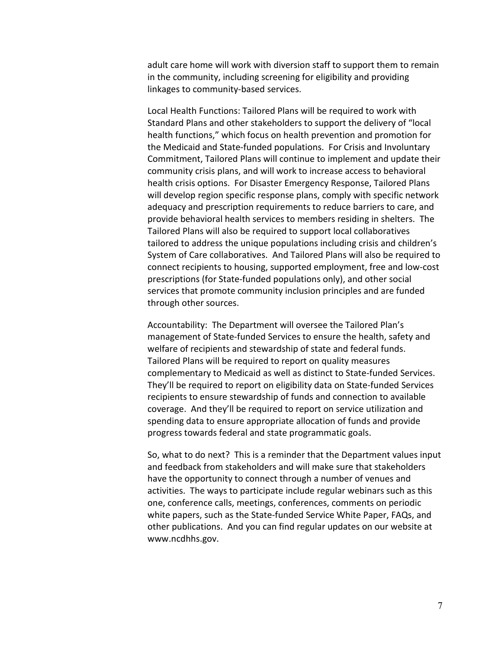adult care home will work with diversion staff to support them to remain in the community, including screening for eligibility and providing linkages to community-based services.

Local Health Functions: Tailored Plans will be required to work with Standard Plans and other stakeholders to support the delivery of "local health functions," which focus on health prevention and promotion for the Medicaid and State-funded populations. For Crisis and Involuntary Commitment, Tailored Plans will continue to implement and update their community crisis plans, and will work to increase access to behavioral health crisis options. For Disaster Emergency Response, Tailored Plans will develop region specific response plans, comply with specific network adequacy and prescription requirements to reduce barriers to care, and provide behavioral health services to members residing in shelters. The Tailored Plans will also be required to support local collaboratives tailored to address the unique populations including crisis and children's System of Care collaboratives. And Tailored Plans will also be required to connect recipients to housing, supported employment, free and low-cost prescriptions (for State-funded populations only), and other social services that promote community inclusion principles and are funded through other sources.

Accountability: The Department will oversee the Tailored Plan's management of State-funded Services to ensure the health, safety and welfare of recipients and stewardship of state and federal funds. Tailored Plans will be required to report on quality measures complementary to Medicaid as well as distinct to State-funded Services. They'll be required to report on eligibility data on State-funded Services recipients to ensure stewardship of funds and connection to available coverage. And they'll be required to report on service utilization and spending data to ensure appropriate allocation of funds and provide progress towards federal and state programmatic goals.

So, what to do next? This is a reminder that the Department values input and feedback from stakeholders and will make sure that stakeholders have the opportunity to connect through a number of venues and activities. The ways to participate include regular webinars such as this one, conference calls, meetings, conferences, comments on periodic white papers, such as the State-funded Service White Paper, FAQs, and other publications. And you can find regular updates on our website at www.ncdhhs.gov.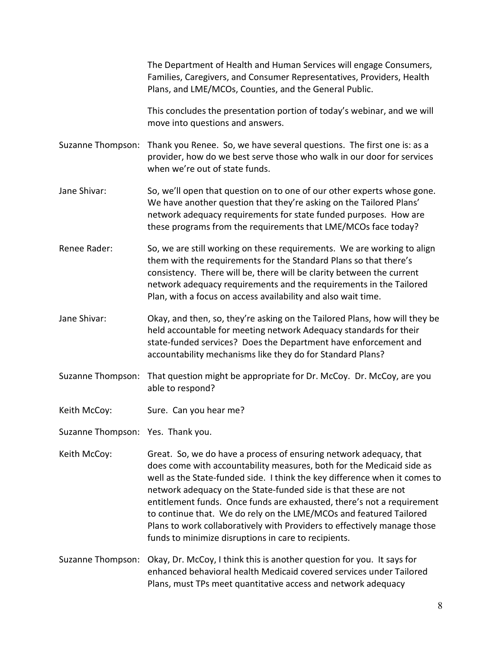The Department of Health and Human Services will engage Consumers, Families, Caregivers, and Consumer Representatives, Providers, Health Plans, and LME/MCOs, Counties, and the General Public.

This concludes the presentation portion of today's webinar, and we will move into questions and answers.

Suzanne Thompson: Thank you Renee. So, we have several questions. The first one is: as a provider, how do we best serve those who walk in our door for services when we're out of state funds.

- Jane Shivar: So, we'll open that question on to one of our other experts whose gone. We have another question that they're asking on the Tailored Plans' network adequacy requirements for state funded purposes. How are these programs from the requirements that LME/MCOs face today?
- Renee Rader: So, we are still working on these requirements. We are working to align them with the requirements for the Standard Plans so that there's consistency. There will be, there will be clarity between the current network adequacy requirements and the requirements in the Tailored Plan, with a focus on access availability and also wait time.
- Jane Shivar: Okay, and then, so, they're asking on the Tailored Plans, how will they be held accountable for meeting network Adequacy standards for their state-funded services? Does the Department have enforcement and accountability mechanisms like they do for Standard Plans?
- Suzanne Thompson: That question might be appropriate for Dr. McCoy. Dr. McCoy, are you able to respond?
- Keith McCoy: Sure. Can you hear me?
- Suzanne Thompson: Yes. Thank you.
- Keith McCoy: Great. So, we do have a process of ensuring network adequacy, that does come with accountability measures, both for the Medicaid side as well as the State-funded side. I think the key difference when it comes to network adequacy on the State-funded side is that these are not entitlement funds. Once funds are exhausted, there's not a requirement to continue that. We do rely on the LME/MCOs and featured Tailored Plans to work collaboratively with Providers to effectively manage those funds to minimize disruptions in care to recipients.
- Suzanne Thompson: Okay, Dr. McCoy, I think this is another question for you. It says for enhanced behavioral health Medicaid covered services under Tailored Plans, must TPs meet quantitative access and network adequacy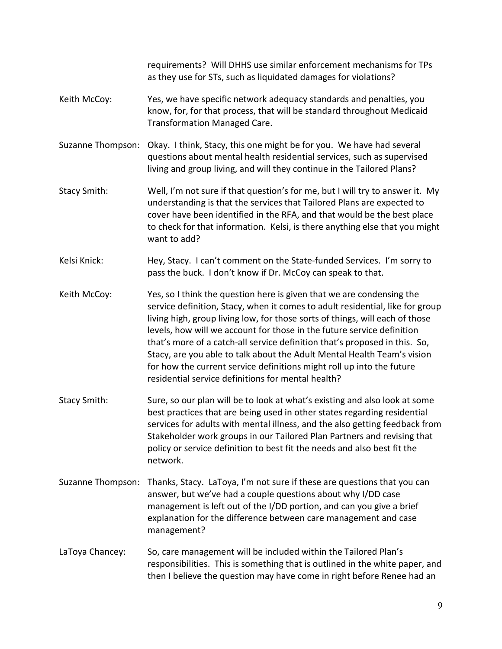requirements? Will DHHS use similar enforcement mechanisms for TPs as they use for STs, such as liquidated damages for violations?

- Keith McCoy: Yes, we have specific network adequacy standards and penalties, you know, for, for that process, that will be standard throughout Medicaid Transformation Managed Care.
- Suzanne Thompson: Okay. I think, Stacy, this one might be for you. We have had several questions about mental health residential services, such as supervised living and group living, and will they continue in the Tailored Plans?
- Stacy Smith: Well, I'm not sure if that question's for me, but I will try to answer it. My understanding is that the services that Tailored Plans are expected to cover have been identified in the RFA, and that would be the best place to check for that information. Kelsi, is there anything else that you might want to add?
- Kelsi Knick: Hey, Stacy. I can't comment on the State-funded Services. I'm sorry to pass the buck. I don't know if Dr. McCoy can speak to that.

Keith McCoy: Yes, so I think the question here is given that we are condensing the service definition, Stacy, when it comes to adult residential, like for group living high, group living low, for those sorts of things, will each of those levels, how will we account for those in the future service definition that's more of a catch-all service definition that's proposed in this. So, Stacy, are you able to talk about the Adult Mental Health Team's vision for how the current service definitions might roll up into the future residential service definitions for mental health?

- Stacy Smith: Sure, so our plan will be to look at what's existing and also look at some best practices that are being used in other states regarding residential services for adults with mental illness, and the also getting feedback from Stakeholder work groups in our Tailored Plan Partners and revising that policy or service definition to best fit the needs and also best fit the network.
- Suzanne Thompson: Thanks, Stacy. LaToya, I'm not sure if these are questions that you can answer, but we've had a couple questions about why I/DD case management is left out of the I/DD portion, and can you give a brief explanation for the difference between care management and case management?
- LaToya Chancey: So, care management will be included within the Tailored Plan's responsibilities. This is something that is outlined in the white paper, and then I believe the question may have come in right before Renee had an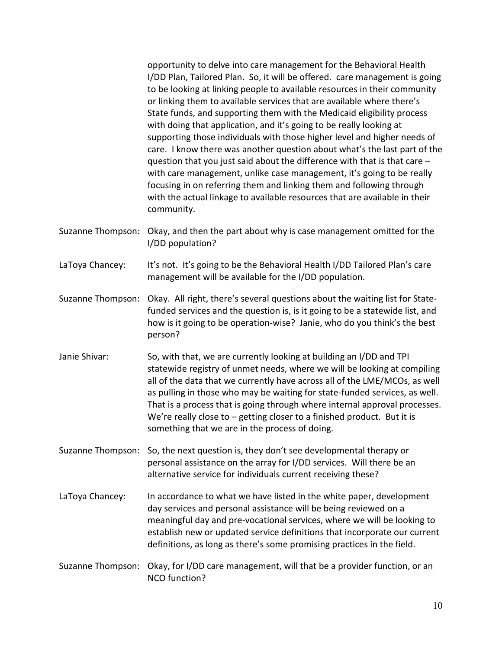opportunity to delve into care management for the Behavioral Health I/DD Plan, Tailored Plan. So, it will be offered. care management is going to be looking at linking people to available resources in their community or linking them to available services that are available where there's State funds, and supporting them with the Medicaid eligibility process with doing that application, and it's going to be really looking at supporting those individuals with those higher level and higher needs of care. I know there was another question about what's the last part of the question that you just said about the difference with that is that care – with care management, unlike case management, it's going to be really focusing in on referring them and linking them and following through with the actual linkage to available resources that are available in their community.

Suzanne Thompson: Okay, and then the part about why is case management omitted for the I/DD population?

LaToya Chancey: It's not. It's going to be the Behavioral Health I/DD Tailored Plan's care management will be available for the I/DD population.

Suzanne Thompson: Okay. All right, there's several questions about the waiting list for Statefunded services and the question is, is it going to be a statewide list, and how is it going to be operation-wise? Janie, who do you think's the best person?

Janie Shivar: So, with that, we are currently looking at building an I/DD and TPI statewide registry of unmet needs, where we will be looking at compiling all of the data that we currently have across all of the LME/MCOs, as well as pulling in those who may be waiting for state-funded services, as well. That is a process that is going through where internal approval processes. We're really close to – getting closer to a finished product. But it is something that we are in the process of doing.

Suzanne Thompson: So, the next question is, they don't see developmental therapy or personal assistance on the array for I/DD services. Will there be an alternative service for individuals current receiving these?

- LaToya Chancey: In accordance to what we have listed in the white paper, development day services and personal assistance will be being reviewed on a meaningful day and pre-vocational services, where we will be looking to establish new or updated service definitions that incorporate our current definitions, as long as there's some promising practices in the field.
- Suzanne Thompson: Okay, for I/DD care management, will that be a provider function, or an NCO function?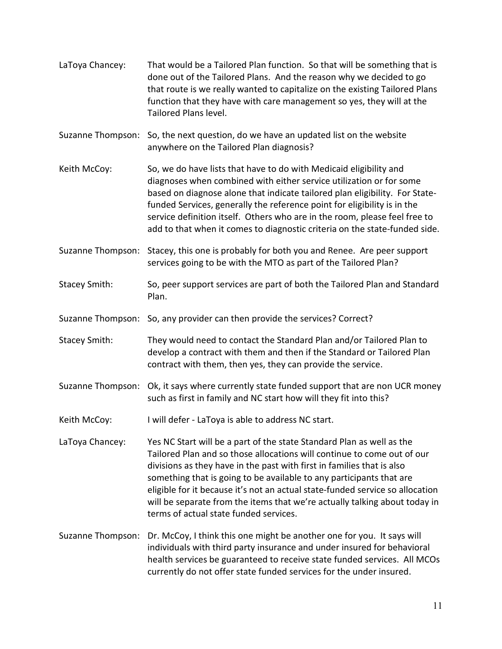LaToya Chancey: That would be a Tailored Plan function. So that will be something that is done out of the Tailored Plans. And the reason why we decided to go that route is we really wanted to capitalize on the existing Tailored Plans function that they have with care management so yes, they will at the Tailored Plans level. Suzanne Thompson: So, the next question, do we have an updated list on the website anywhere on the Tailored Plan diagnosis? Keith McCoy: So, we do have lists that have to do with Medicaid eligibility and diagnoses when combined with either service utilization or for some based on diagnose alone that indicate tailored plan eligibility. For Statefunded Services, generally the reference point for eligibility is in the service definition itself. Others who are in the room, please feel free to add to that when it comes to diagnostic criteria on the state-funded side. Suzanne Thompson: Stacey, this one is probably for both you and Renee. Are peer support services going to be with the MTO as part of the Tailored Plan? Stacey Smith: So, peer support services are part of both the Tailored Plan and Standard Plan. Suzanne Thompson: So, any provider can then provide the services? Correct? Stacey Smith: They would need to contact the Standard Plan and/or Tailored Plan to develop a contract with them and then if the Standard or Tailored Plan contract with them, then yes, they can provide the service. Suzanne Thompson: Ok, it says where currently state funded support that are non UCR money such as first in family and NC start how will they fit into this? Keith McCoy: I will defer - LaToya is able to address NC start. LaToya Chancey: Yes NC Start will be a part of the state Standard Plan as well as the Tailored Plan and so those allocations will continue to come out of our divisions as they have in the past with first in families that is also something that is going to be available to any participants that are eligible for it because it's not an actual state-funded service so allocation will be separate from the items that we're actually talking about today in terms of actual state funded services. Suzanne Thompson: Dr. McCoy, I think this one might be another one for you. It says will individuals with third party insurance and under insured for behavioral health services be guaranteed to receive state funded services. All MCOs currently do not offer state funded services for the under insured.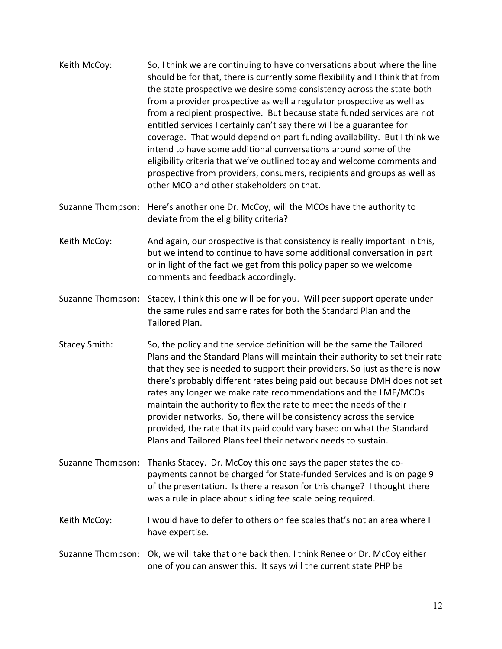- Keith McCoy: So, I think we are continuing to have conversations about where the line should be for that, there is currently some flexibility and I think that from the state prospective we desire some consistency across the state both from a provider prospective as well a regulator prospective as well as from a recipient prospective. But because state funded services are not entitled services I certainly can't say there will be a guarantee for coverage. That would depend on part funding availability. But I think we intend to have some additional conversations around some of the eligibility criteria that we've outlined today and welcome comments and prospective from providers, consumers, recipients and groups as well as other MCO and other stakeholders on that.
- Suzanne Thompson: Here's another one Dr. McCoy, will the MCOs have the authority to deviate from the eligibility criteria?
- Keith McCoy: And again, our prospective is that consistency is really important in this, but we intend to continue to have some additional conversation in part or in light of the fact we get from this policy paper so we welcome comments and feedback accordingly.
- Suzanne Thompson: Stacey, I think this one will be for you. Will peer support operate under the same rules and same rates for both the Standard Plan and the Tailored Plan.
- Stacey Smith: So, the policy and the service definition will be the same the Tailored Plans and the Standard Plans will maintain their authority to set their rate that they see is needed to support their providers. So just as there is now there's probably different rates being paid out because DMH does not set rates any longer we make rate recommendations and the LME/MCOs maintain the authority to flex the rate to meet the needs of their provider networks. So, there will be consistency across the service provided, the rate that its paid could vary based on what the Standard Plans and Tailored Plans feel their network needs to sustain.
- Suzanne Thompson: Thanks Stacey. Dr. McCoy this one says the paper states the copayments cannot be charged for State-funded Services and is on page 9 of the presentation. Is there a reason for this change? I thought there was a rule in place about sliding fee scale being required.
- Keith McCoy: I would have to defer to others on fee scales that's not an area where I have expertise.
- Suzanne Thompson: Ok, we will take that one back then. I think Renee or Dr. McCoy either one of you can answer this. It says will the current state PHP be